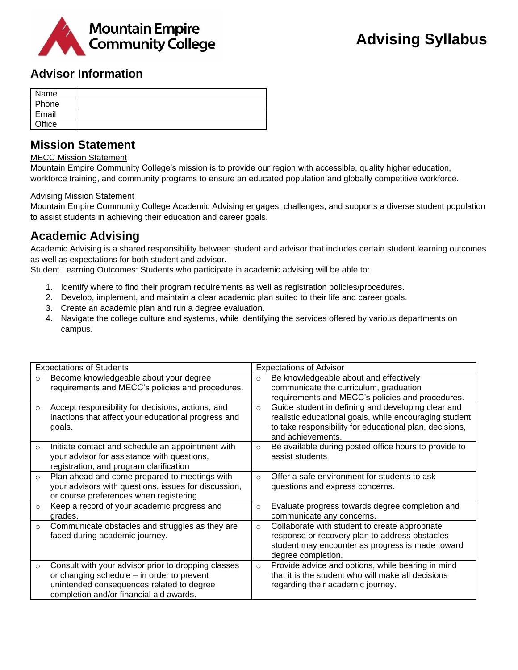

## **Advisor Information**

| Name   |  |
|--------|--|
| Phone  |  |
| Email  |  |
| Office |  |

## **Mission Statement**

### MECC Mission Statement

Mountain Empire Community College's mission is to provide our region with accessible, quality higher education, workforce training, and community programs to ensure an educated population and globally competitive workforce.

### Advising Mission Statement

Mountain Empire Community College Academic Advising engages, challenges, and supports a diverse student population to assist students in achieving their education and career goals.

## **Academic Advising**

Academic Advising is a shared responsibility between student and advisor that includes certain student learning outcomes as well as expectations for both student and advisor.

Student Learning Outcomes: Students who participate in academic advising will be able to:

- 1. Identify where to find their program requirements as well as registration policies/procedures.
- 2. Develop, implement, and maintain a clear academic plan suited to their life and career goals.
- 3. Create an academic plan and run a degree evaluation.
- 4. Navigate the college culture and systems, while identifying the services offered by various departments on campus.

| <b>Expectations of Students</b> |                                                                                                                                                                                           |         | <b>Expectations of Advisor</b>                                                                                                                                                               |  |
|---------------------------------|-------------------------------------------------------------------------------------------------------------------------------------------------------------------------------------------|---------|----------------------------------------------------------------------------------------------------------------------------------------------------------------------------------------------|--|
| $\circ$                         | Become knowledgeable about your degree<br>requirements and MECC's policies and procedures.                                                                                                | $\circ$ | Be knowledgeable about and effectively<br>communicate the curriculum, graduation<br>requirements and MECC's policies and procedures.                                                         |  |
| $\circ$                         | Accept responsibility for decisions, actions, and<br>inactions that affect your educational progress and<br>goals.                                                                        | $\circ$ | Guide student in defining and developing clear and<br>realistic educational goals, while encouraging student<br>to take responsibility for educational plan, decisions,<br>and achievements. |  |
| $\circ$                         | Initiate contact and schedule an appointment with<br>your advisor for assistance with questions,<br>registration, and program clarification                                               | O       | Be available during posted office hours to provide to<br>assist students                                                                                                                     |  |
| $\circ$                         | Plan ahead and come prepared to meetings with<br>your advisors with questions, issues for discussion,<br>or course preferences when registering.                                          | $\circ$ | Offer a safe environment for students to ask<br>questions and express concerns.                                                                                                              |  |
| $\circ$                         | Keep a record of your academic progress and<br>grades.                                                                                                                                    | $\circ$ | Evaluate progress towards degree completion and<br>communicate any concerns.                                                                                                                 |  |
| $\circ$                         | Communicate obstacles and struggles as they are<br>faced during academic journey.                                                                                                         | $\circ$ | Collaborate with student to create appropriate<br>response or recovery plan to address obstacles<br>student may encounter as progress is made toward<br>degree completion.                   |  |
| $\circ$                         | Consult with your advisor prior to dropping classes<br>or changing schedule - in order to prevent<br>unintended consequences related to degree<br>completion and/or financial aid awards. | $\circ$ | Provide advice and options, while bearing in mind<br>that it is the student who will make all decisions<br>regarding their academic journey.                                                 |  |